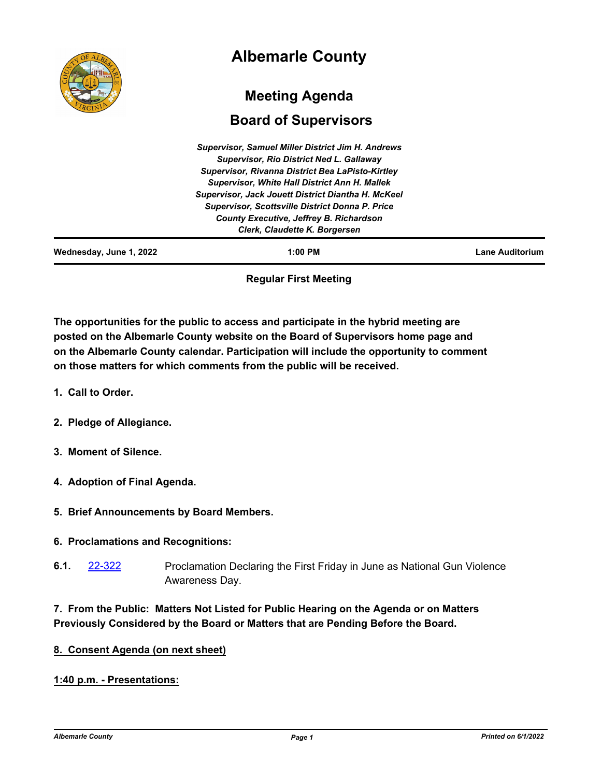

# **Regular First Meeting**

**The opportunities for the public to access and participate in the hybrid meeting are posted on the Albemarle County website on the Board of Supervisors home page and on the Albemarle County calendar. Participation will include the opportunity to comment on those matters for which comments from the public will be received.**

- **1. Call to Order.**
- **2. Pledge of Allegiance.**
- **3. Moment of Silence.**
- **4. Adoption of Final Agenda.**
- **5. Brief Announcements by Board Members.**

## **6. Proclamations and Recognitions:**

Proclamation Declaring the First Friday in June as National Gun Violence Awareness Day. **6.1.** [22-322](http://albemarle.legistar.com/gateway.aspx?m=l&id=/matter.aspx?key=7066)

# **7. From the Public: Matters Not Listed for Public Hearing on the Agenda or on Matters Previously Considered by the Board or Matters that are Pending Before the Board.**

## **8. Consent Agenda (on next sheet)**

## **1:40 p.m. - Presentations:**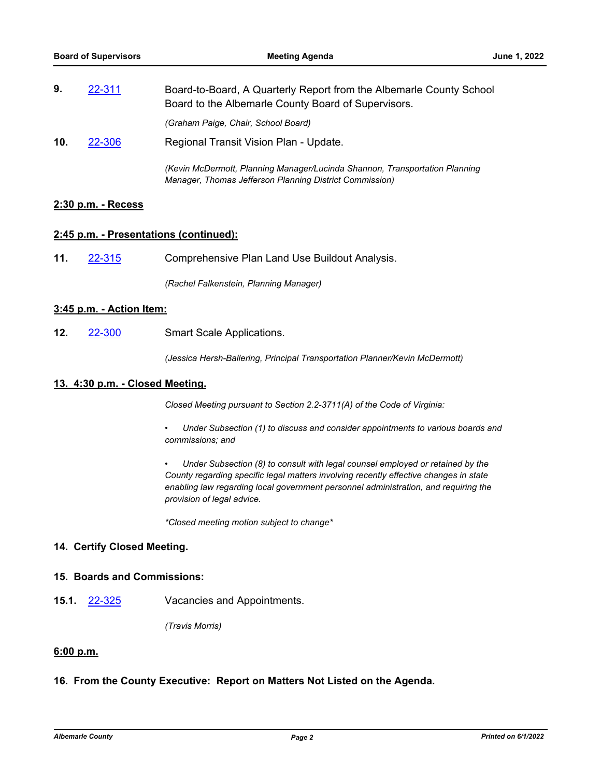| 9.              | 22-311 | Board-to-Board, A Quarterly Report from the Albemarle County School<br>Board to the Albemarle County Board of Supervisors.             |
|-----------------|--------|----------------------------------------------------------------------------------------------------------------------------------------|
|                 |        | (Graham Paige, Chair, School Board)                                                                                                    |
| 10 <sub>1</sub> | 22-306 | Regional Transit Vision Plan - Update.                                                                                                 |
|                 |        | (Kevin McDermott, Planning Manager/Lucinda Shannon, Transportation Planning<br>Manager, Thomas Jefferson Planning District Commission) |

## **2:30 p.m. - Recess**

#### **2:45 p.m. - Presentations (continued):**

**11.** [22-315](http://albemarle.legistar.com/gateway.aspx?m=l&id=/matter.aspx?key=7059) Comprehensive Plan Land Use Buildout Analysis.

*(Rachel Falkenstein, Planning Manager)*

## **3:45 p.m. - Action Item:**

**12.** [22-300](http://albemarle.legistar.com/gateway.aspx?m=l&id=/matter.aspx?key=7044) Smart Scale Applications.

*(Jessica Hersh-Ballering, Principal Transportation Planner/Kevin McDermott)*

### **13. 4:30 p.m. - Closed Meeting.**

*Closed Meeting pursuant to Section 2.2-3711(A) of the Code of Virginia:*

- *• Under Subsection (1) to discuss and consider appointments to various boards and commissions; and*
- *• Under Subsection (8) to consult with legal counsel employed or retained by the County regarding specific legal matters involving recently effective changes in state enabling law regarding local government personnel administration, and requiring the provision of legal advice.*

*\*Closed meeting motion subject to change\**

#### **14. Certify Closed Meeting.**

## **15. Boards and Commissions:**

**15.1.** [22-325](http://albemarle.legistar.com/gateway.aspx?m=l&id=/matter.aspx?key=7069) Vacancies and Appointments.

*(Travis Morris)*

#### **6:00 p.m.**

#### **16. From the County Executive: Report on Matters Not Listed on the Agenda.**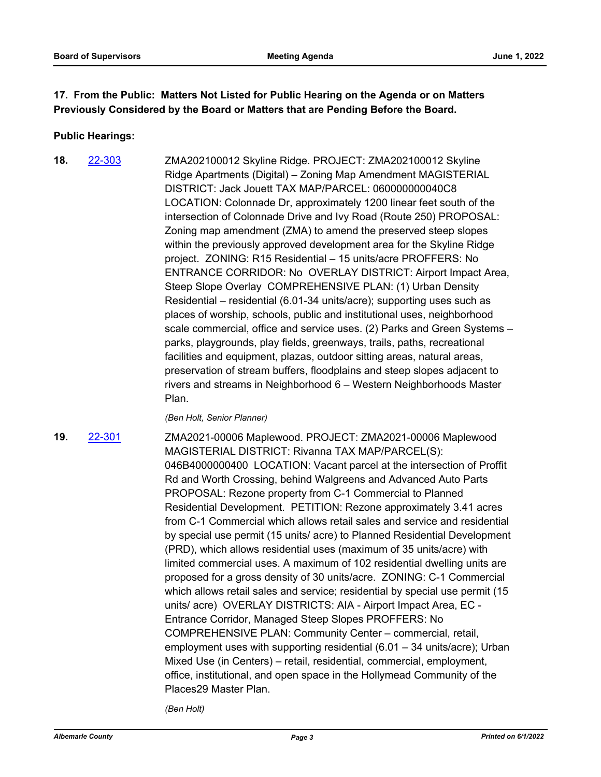# **17. From the Public: Matters Not Listed for Public Hearing on the Agenda or on Matters Previously Considered by the Board or Matters that are Pending Before the Board.**

## **Public Hearings:**

ZMA202100012 Skyline Ridge. PROJECT: ZMA202100012 Skyline Ridge Apartments (Digital) – Zoning Map Amendment MAGISTERIAL DISTRICT: Jack Jouett TAX MAP/PARCEL: 060000000040C8 LOCATION: Colonnade Dr, approximately 1200 linear feet south of the intersection of Colonnade Drive and Ivy Road (Route 250) PROPOSAL: Zoning map amendment (ZMA) to amend the preserved steep slopes within the previously approved development area for the Skyline Ridge project. ZONING: R15 Residential – 15 units/acre PROFFERS: No ENTRANCE CORRIDOR: No OVERLAY DISTRICT: Airport Impact Area, Steep Slope Overlay COMPREHENSIVE PLAN: (1) Urban Density Residential – residential (6.01-34 units/acre); supporting uses such as places of worship, schools, public and institutional uses, neighborhood scale commercial, office and service uses. (2) Parks and Green Systems – parks, playgrounds, play fields, greenways, trails, paths, recreational facilities and equipment, plazas, outdoor sitting areas, natural areas, preservation of stream buffers, floodplains and steep slopes adjacent to rivers and streams in Neighborhood 6 – Western Neighborhoods Master Plan. **18.** [22-303](http://albemarle.legistar.com/gateway.aspx?m=l&id=/matter.aspx?key=7047)

*(Ben Holt, Senior Planner)*

**19.** [22-301](http://albemarle.legistar.com/gateway.aspx?m=l&id=/matter.aspx?key=7045)

ZMA2021-00006 Maplewood. PROJECT: ZMA2021-00006 Maplewood MAGISTERIAL DISTRICT: Rivanna TAX MAP/PARCEL(S): 046B4000000400 LOCATION: Vacant parcel at the intersection of Proffit Rd and Worth Crossing, behind Walgreens and Advanced Auto Parts PROPOSAL: Rezone property from C-1 Commercial to Planned Residential Development. PETITION: Rezone approximately 3.41 acres from C-1 Commercial which allows retail sales and service and residential by special use permit (15 units/ acre) to Planned Residential Development (PRD), which allows residential uses (maximum of 35 units/acre) with limited commercial uses. A maximum of 102 residential dwelling units are proposed for a gross density of 30 units/acre. ZONING: C-1 Commercial which allows retail sales and service; residential by special use permit (15 units/ acre) OVERLAY DISTRICTS: AIA - Airport Impact Area, EC - Entrance Corridor, Managed Steep Slopes PROFFERS: No COMPREHENSIVE PLAN: Community Center – commercial, retail, employment uses with supporting residential (6.01 – 34 units/acre); Urban Mixed Use (in Centers) – retail, residential, commercial, employment, office, institutional, and open space in the Hollymead Community of the Places29 Master Plan.

*(Ben Holt)*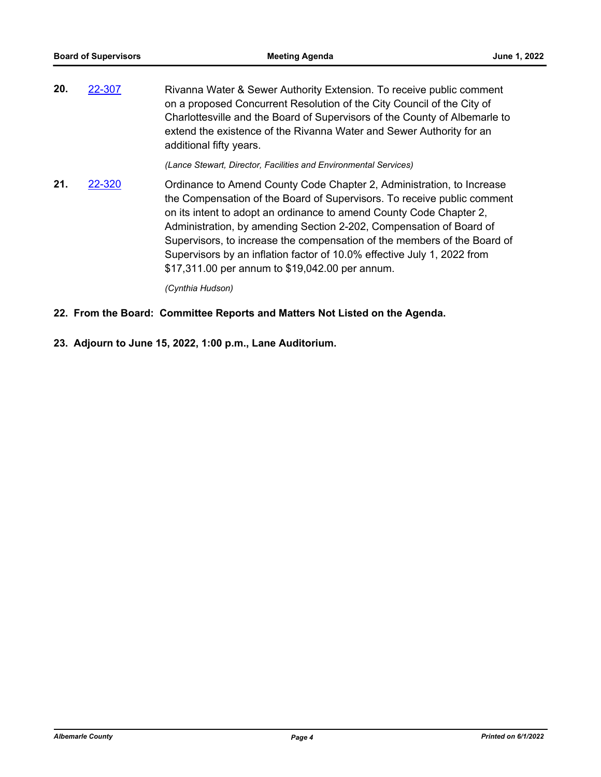| 20. | 22-307 | Rivanna Water & Sewer Authority Extension. To receive public comment       |
|-----|--------|----------------------------------------------------------------------------|
|     |        | on a proposed Concurrent Resolution of the City Council of the City of     |
|     |        | Charlottesville and the Board of Supervisors of the County of Albemarle to |
|     |        | extend the existence of the Rivanna Water and Sewer Authority for an       |
|     |        | additional fifty years.                                                    |
|     |        |                                                                            |

*(Lance Stewart, Director, Facilities and Environmental Services)*

Ordinance to Amend County Code Chapter 2, Administration, to Increase the Compensation of the Board of Supervisors. To receive public comment on its intent to adopt an ordinance to amend County Code Chapter 2, Administration, by amending Section 2-202, Compensation of Board of Supervisors, to increase the compensation of the members of the Board of Supervisors by an inflation factor of 10.0% effective July 1, 2022 from \$17,311.00 per annum to \$19,042.00 per annum. **21.** [22-320](http://albemarle.legistar.com/gateway.aspx?m=l&id=/matter.aspx?key=7064)

*(Cynthia Hudson)*

- **22. From the Board: Committee Reports and Matters Not Listed on the Agenda.**
- **23. Adjourn to June 15, 2022, 1:00 p.m., Lane Auditorium.**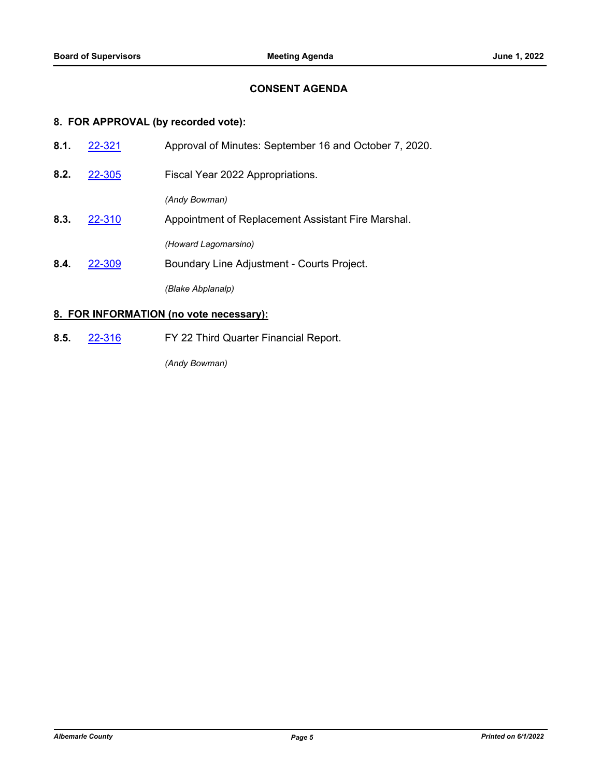## **CONSENT AGENDA**

# **8. FOR APPROVAL (by recorded vote):**

| 8.1. | 22-321 | Approval of Minutes: September 16 and October 7, 2020.                                  |
|------|--------|-----------------------------------------------------------------------------------------|
| 8.2. | 22-305 | Fiscal Year 2022 Appropriations.                                                        |
| 8.3. | 22-310 | (Andy Bowman)<br>Appointment of Replacement Assistant Fire Marshal.                     |
| 8.4. | 22-309 | (Howard Lagomarsino)<br>Boundary Line Adjustment - Courts Project.<br>(Blake Abplanalp) |

# **8. FOR INFORMATION (no vote necessary):**

**8.5.** [22-316](http://albemarle.legistar.com/gateway.aspx?m=l&id=/matter.aspx?key=7060) FY 22 Third Quarter Financial Report.

*(Andy Bowman)*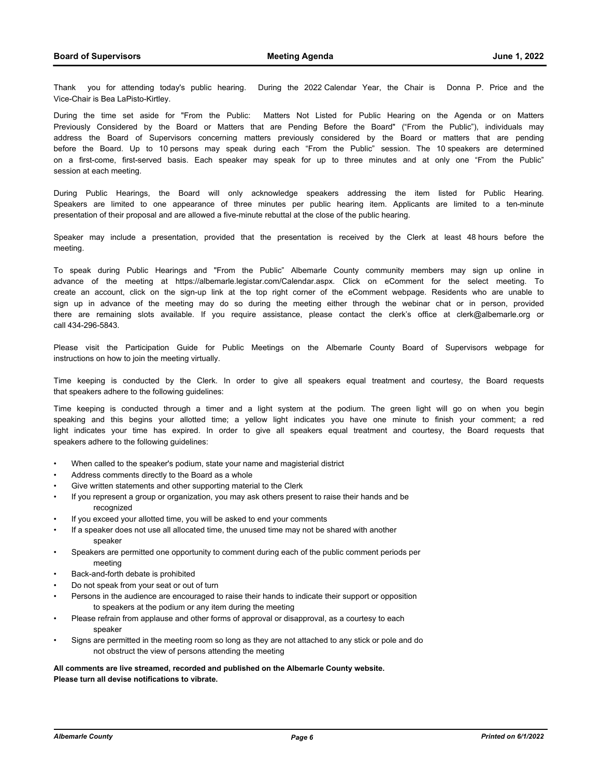Thank you for attending today's public hearing. During the 2022 Calendar Year, the Chair is Donna P. Price and the Vice-Chair is Bea LaPisto-Kirtley.

During the time set aside for "From the Public: Matters Not Listed for Public Hearing on the Agenda or on Matters Previously Considered by the Board or Matters that are Pending Before the Board" ("From the Public"), individuals may address the Board of Supervisors concerning matters previously considered by the Board or matters that are pending before the Board. Up to 10 persons may speak during each "From the Public" session. The 10 speakers are determined on a first-come, first-served basis. Each speaker may speak for up to three minutes and at only one "From the Public" session at each meeting.

During Public Hearings, the Board will only acknowledge speakers addressing the item listed for Public Hearing. Speakers are limited to one appearance of three minutes per public hearing item. Applicants are limited to a ten-minute presentation of their proposal and are allowed a five-minute rebuttal at the close of the public hearing.

Speaker may include a presentation, provided that the presentation is received by the Clerk at least 48 hours before the meeting.

To speak during Public Hearings and "From the Public" Albemarle County community members may sign up online in advance of the meeting at https://albemarle.legistar.com/Calendar.aspx. Click on eComment for the select meeting. To create an account, click on the sign-up link at the top right corner of the eComment webpage. Residents who are unable to sign up in advance of the meeting may do so during the meeting either through the webinar chat or in person, provided there are remaining slots available. If you require assistance, please contact the clerk's office at clerk@albemarle.org or call 434-296-5843.

Please visit the Participation Guide for Public Meetings on the Albemarle County Board of Supervisors webpage for instructions on how to join the meeting virtually.

Time keeping is conducted by the Clerk. In order to give all speakers equal treatment and courtesy, the Board requests that speakers adhere to the following guidelines:

Time keeping is conducted through a timer and a light system at the podium. The green light will go on when you begin speaking and this begins your allotted time; a yellow light indicates you have one minute to finish your comment; a red light indicates your time has expired. In order to give all speakers equal treatment and courtesy, the Board requests that speakers adhere to the following guidelines:

- When called to the speaker's podium, state your name and magisterial district
- Address comments directly to the Board as a whole
- Give written statements and other supporting material to the Clerk
- If you represent a group or organization, you may ask others present to raise their hands and be recognized
- If you exceed your allotted time, you will be asked to end your comments
- If a speaker does not use all allocated time, the unused time may not be shared with another speaker
- Speakers are permitted one opportunity to comment during each of the public comment periods per meeting
- Back-and-forth debate is prohibited
- Do not speak from your seat or out of turn
- Persons in the audience are encouraged to raise their hands to indicate their support or opposition to speakers at the podium or any item during the meeting
- Please refrain from applause and other forms of approval or disapproval, as a courtesy to each speaker
- Signs are permitted in the meeting room so long as they are not attached to any stick or pole and do not obstruct the view of persons attending the meeting

**All comments are live streamed, recorded and published on the Albemarle County website. Please turn all devise notifications to vibrate.**